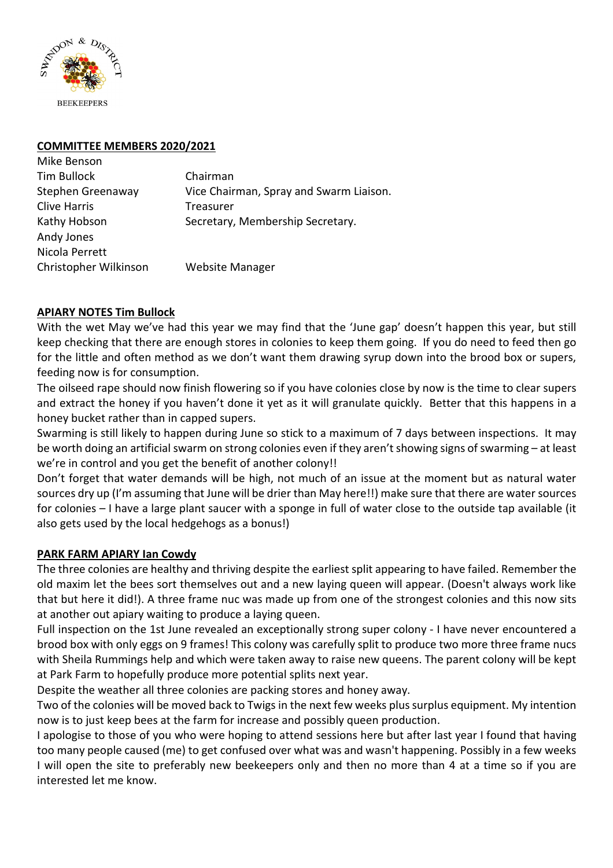

Mike Benson

#### **COMMITTEE MEMBERS 2020/2021**

| <b>IVIING DEIISUIT</b> |                                         |
|------------------------|-----------------------------------------|
| Tim Bullock            | Chairman                                |
| Stephen Greenaway      | Vice Chairman, Spray and Swarm Liaison. |
| <b>Clive Harris</b>    | Treasurer                               |
| Kathy Hobson           | Secretary, Membership Secretary.        |
| Andy Jones             |                                         |
| Nicola Perrett         |                                         |
| Christopher Wilkinson  | <b>Website Manager</b>                  |
|                        |                                         |

### **APIARY NOTES Tim Bullock**

With the wet May we've had this year we may find that the 'June gap' doesn't happen this year, but still keep checking that there are enough stores in colonies to keep them going. If you do need to feed then go for the little and often method as we don't want them drawing syrup down into the brood box or supers, feeding now is for consumption.

The oilseed rape should now finish flowering so if you have colonies close by now is the time to clear supers and extract the honey if you haven't done it yet as it will granulate quickly. Better that this happens in a honey bucket rather than in capped supers.

Swarming is still likely to happen during June so stick to a maximum of 7 days between inspections. It may be worth doing an artificial swarm on strong colonies even if they aren't showing signs of swarming – at least we're in control and you get the benefit of another colony!!

Don't forget that water demands will be high, not much of an issue at the moment but as natural water sources dry up (I'm assuming that June will be drier than May here!!) make sure that there are water sources for colonies – I have a large plant saucer with a sponge in full of water close to the outside tap available (it also gets used by the local hedgehogs as a bonus!)

### **PARK FARM APIARY Ian Cowdy**

The three colonies are healthy and thriving despite the earliest split appearing to have failed. Remember the old maxim let the bees sort themselves out and a new laying queen will appear. (Doesn't always work like that but here it did!). A three frame nuc was made up from one of the strongest colonies and this now sits at another out apiary waiting to produce a laying queen.

Full inspection on the 1st June revealed an exceptionally strong super colony - I have never encountered a brood box with only eggs on 9 frames! This colony was carefully split to produce two more three frame nucs with Sheila Rummings help and which were taken away to raise new queens. The parent colony will be kept at Park Farm to hopefully produce more potential splits next year.

Despite the weather all three colonies are packing stores and honey away.

Two of the colonies will be moved back to Twigs in the next few weeks plus surplus equipment. My intention now is to just keep bees at the farm for increase and possibly queen production.

I apologise to those of you who were hoping to attend sessions here but after last year I found that having too many people caused (me) to get confused over what was and wasn't happening. Possibly in a few weeks I will open the site to preferably new beekeepers only and then no more than 4 at a time so if you are interested let me know.